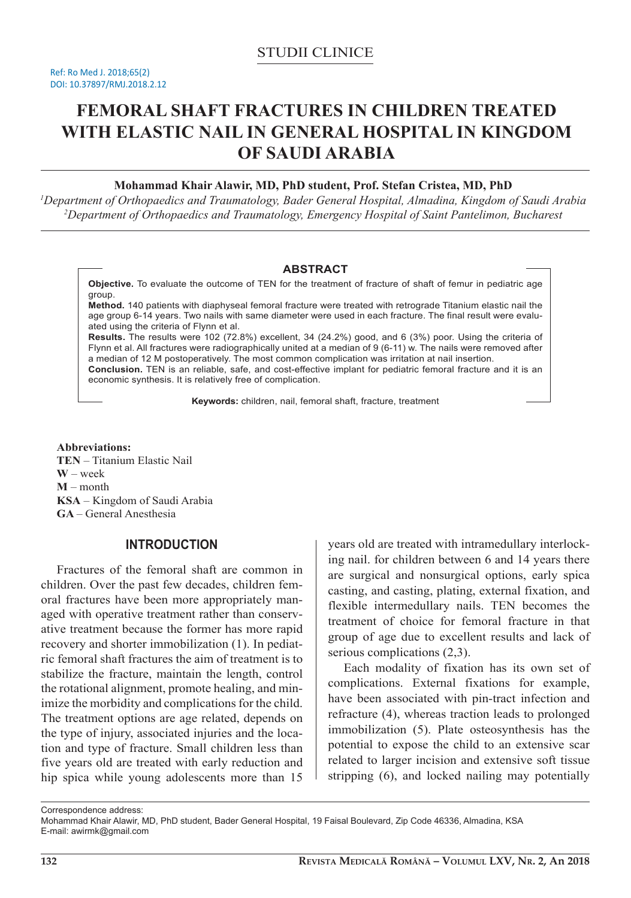# **FEMORAL SHAFT FRACTURES IN CHILDREN TREATED WITH ELASTIC NAIL IN GENERAL HOSPITAL IN KINGDOM OF SAUDI ARABIA**

## **Mohammad Khair Alawir, MD, PhD student, Prof. Stefan Cristea, MD, PhD**

*1 Department of Orthopaedics and Traumatology, Bader General Hospital, Almadina, Kingdom of Saudi Arabia 2 Department of Orthopaedics and Traumatology, Emergency Hospital of Saint Pantelimon, Bucharest*

#### **ABSTRACT**

**Objective.** To evaluate the outcome of TEN for the treatment of fracture of shaft of femur in pediatric age group.

**Method.** 140 patients with diaphyseal femoral fracture were treated with retrograde Titanium elastic nail the age group 6-14 years. Two nails with same diameter were used in each fracture. The final result were evaluated using the criteria of Flynn et al.

**Results.** The results were 102 (72.8%) excellent, 34 (24.2%) good, and 6 (3%) poor. Using the criteria of Flynn et al. All fractures were radiographically united at a median of 9 (6-11) w. The nails were removed after a median of 12 M postoperatively. The most common complication was irritation at nail insertion.

**Conclusion.** TEN is an reliable, safe, and cost-effective implant for pediatric femoral fracture and it is an economic synthesis. It is relatively free of complication.

**Keywords:** children, nail, femoral shaft, fracture, treatment

**Abbreviations: TEN** – Titanium Elastic Nail **W** – week **M** – month **KSA** – Kingdom of Saudi Arabia **GA** – General Anesthesia

## **INTRODUCTION**

Fractures of the femoral shaft are common in children. Over the past few decades, children femoral fractures have been more appropriately managed with operative treatment rather than conservative treatment because the former has more rapid recovery and shorter immobilization (1). In pediatric femoral shaft fractures the aim of treatment is to stabilize the fracture, maintain the length, control the rotational alignment, promote healing, and minimize the morbidity and complications for the child. The treatment options are age related, depends on the type of injury, associated injuries and the location and type of fracture. Small children less than five years old are treated with early reduction and hip spica while young adolescents more than 15

years old are treated with intramedullary interlocking nail. for children between 6 and 14 years there are surgical and nonsurgical options, early spica casting, and casting, plating, external fixation, and flexible intermedullary nails. TEN becomes the treatment of choice for femoral fracture in that group of age due to excellent results and lack of serious complications (2,3).

Each modality of fixation has its own set of complications. External fixations for example, have been associated with pin-tract infection and refracture (4), whereas traction leads to prolonged immobilization (5). Plate osteosynthesis has the potential to expose the child to an extensive scar related to larger incision and extensive soft tissue stripping (6), and locked nailing may potentially

Correspondence address:

Mohammad Khair Alawir, MD, PhD student, Bader General Hospital, 19 Faisal Boulevard, Zip Code 46336, Almadina, KSA E-mail: awirmk@gmail.com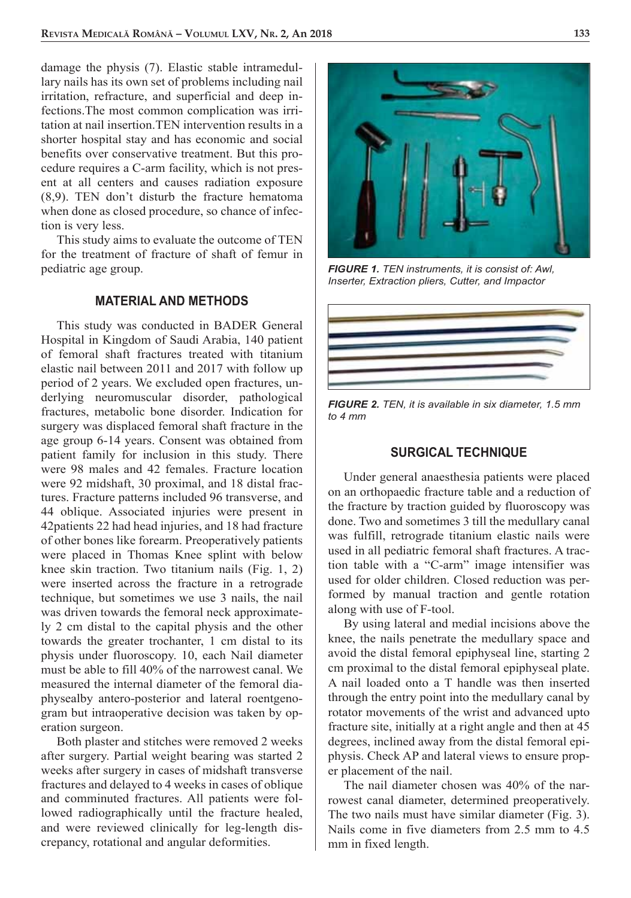damage the physis (7). Elastic stable intramedullary nails has its own set of problems including nail irritation, refracture, and superficial and deep infections.The most common complication was irritation at nail insertion.TEN intervention results in a shorter hospital stay and has economic and social benefits over conservative treatment. But this procedure requires a C-arm facility, which is not present at all centers and causes radiation exposure (8,9). TEN don't disturb the fracture hematoma when done as closed procedure, so chance of infection is very less.

This study aims to evaluate the outcome of TEN for the treatment of fracture of shaft of femur in pediatric age group.

### **MATERIAL AND METHODS**

This study was conducted in BADER General Hospital in Kingdom of Saudi Arabia, 140 patient of femoral shaft fractures treated with titanium elastic nail between 2011 and 2017 with follow up period of 2 years. We excluded open fractures, underlying neuromuscular disorder, pathological fractures, metabolic bone disorder. Indication for surgery was displaced femoral shaft fracture in the age group 6-14 years. Consent was obtained from patient family for inclusion in this study. There were 98 males and 42 females. Fracture location were 92 midshaft, 30 proximal, and 18 distal fractures. Fracture patterns included 96 transverse, and 44 oblique. Associated injuries were present in 42patients 22 had head injuries, and 18 had fracture of other bones like forearm. Preoperatively patients were placed in Thomas Knee splint with below knee skin traction. Two titanium nails (Fig. 1, 2) were inserted across the fracture in a retrograde technique, but sometimes we use 3 nails, the nail was driven towards the femoral neck approximately 2 cm distal to the capital physis and the other towards the greater trochanter, 1 cm distal to its physis under fluoroscopy. 10, each Nail diameter must be able to fill 40% of the narrowest canal. We measured the internal diameter of the femoral diaphysealby antero-posterior and lateral roentgenogram but intraoperative decision was taken by operation surgeon.

Both plaster and stitches were removed 2 weeks after surgery. Partial weight bearing was started 2 weeks after surgery in cases of midshaft transverse fractures and delayed to 4 weeks in cases of oblique and comminuted fractures. All patients were followed radiographically until the fracture healed, and were reviewed clinically for leg-length discrepancy, rotational and angular deformities.



*FIGURE 1. TEN instruments, it is consist of: Awl, Inserter, Extraction pliers, Cutter, and Impactor*



*FIGURE 2. TEN, it is available in six diameter, 1.5 mm to 4 mm*

#### **SURGICAL TECHNIQUE**

Under general anaesthesia patients were placed on an orthopaedic fracture table and a reduction of the fracture by traction guided by fluoroscopy was done. Two and sometimes 3 till the medullary canal was fulfill, retrograde titanium elastic nails were used in all pediatric femoral shaft fractures. A traction table with a "C-arm" image intensifier was used for older children. Closed reduction was performed by manual traction and gentle rotation along with use of F-tool.

By using lateral and medial incisions above the knee, the nails penetrate the medullary space and avoid the distal femoral epiphyseal line, starting 2 cm proximal to the distal femoral epiphyseal plate. A nail loaded onto a T handle was then inserted through the entry point into the medullary canal by rotator movements of the wrist and advanced upto fracture site, initially at a right angle and then at 45 degrees, inclined away from the distal femoral epiphysis. Check AP and lateral views to ensure proper placement of the nail.

The nail diameter chosen was 40% of the narrowest canal diameter, determined preoperatively. The two nails must have similar diameter (Fig. 3). Nails come in five diameters from 2.5 mm to 4.5 mm in fixed length.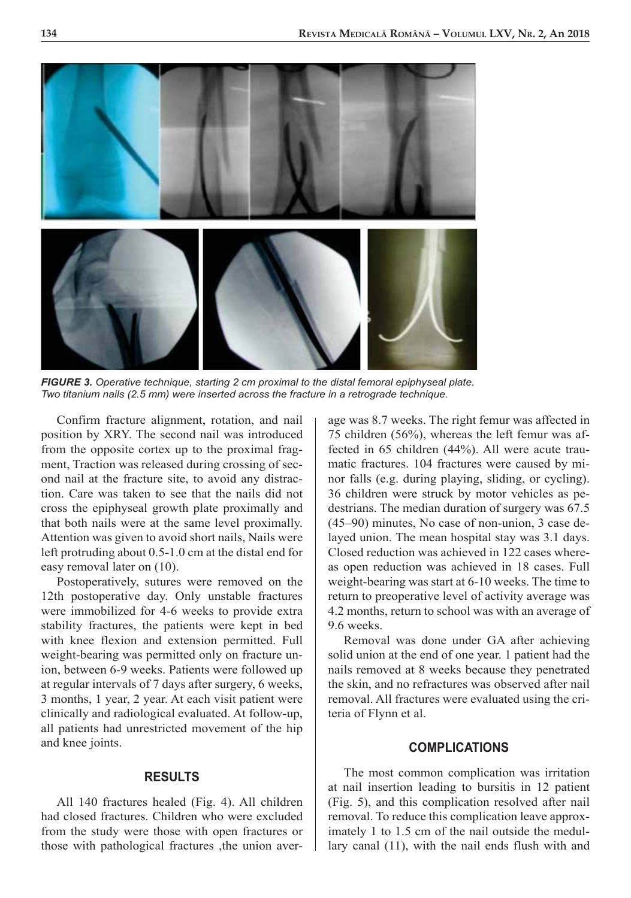

*FIGURE 3. Operative technique, starting 2 cm proximal to the distal femoral epiphyseal plate. Two titanium nails (2.5 mm) were inserted across the fracture in a retrograde technique.*

Confirm fracture alignment, rotation, and nail position by XRY. The second nail was introduced from the opposite cortex up to the proximal fragment, Traction was released during crossing of second nail at the fracture site, to avoid any distraction. Care was taken to see that the nails did not cross the epiphyseal growth plate proximally and that both nails were at the same level proximally. Attention was given to avoid short nails, Nails were left protruding about 0.5-1.0 cm at the distal end for easy removal later on (10).

Postoperatively, sutures were removed on the 12th postoperative day. Only unstable fractures were immobilized for 4-6 weeks to provide extra stability fractures, the patients were kept in bed with knee flexion and extension permitted. Full weight-bearing was permitted only on fracture union, between 6-9 weeks. Patients were followed up at regular intervals of 7 days after surgery, 6 weeks, 3 months, 1 year, 2 year. At each visit patient were clinically and radiological evaluated. At follow-up, all patients had unrestricted movement of the hip and knee joints.

#### **RESULTS**

All 140 fractures healed (Fig. 4). All children had closed fractures. Children who were excluded from the study were those with open fractures or those with pathological fractures ,the union average was 8.7 weeks. The right femur was affected in 75 children (56%), whereas the left femur was affected in 65 children (44%). All were acute traumatic fractures. 104 fractures were caused by minor falls (e.g. during playing, sliding, or cycling). 36 children were struck by motor vehicles as pedestrians. The median duration of surgery was 67.5 (45–90) minutes, No case of non-union, 3 case delayed union. The mean hospital stay was 3.1 days. Closed reduction was achieved in 122 cases whereas open reduction was achieved in 18 cases. Full weight-bearing was start at 6-10 weeks. The time to return to preoperative level of activity average was 4.2 months, return to school was with an average of 9.6 weeks.

Removal was done under GA after achieving solid union at the end of one year. 1 patient had the nails removed at 8 weeks because they penetrated the skin, and no refractures was observed after nail removal. All fractures were evaluated using the criteria of Flynn et al.

#### **COMPLICATIONS**

The most common complication was irritation at nail insertion leading to bursitis in 12 patient (Fig. 5), and this complication resolved after nail removal. To reduce this complication leave approximately 1 to 1.5 cm of the nail outside the medullary canal (11), with the nail ends flush with and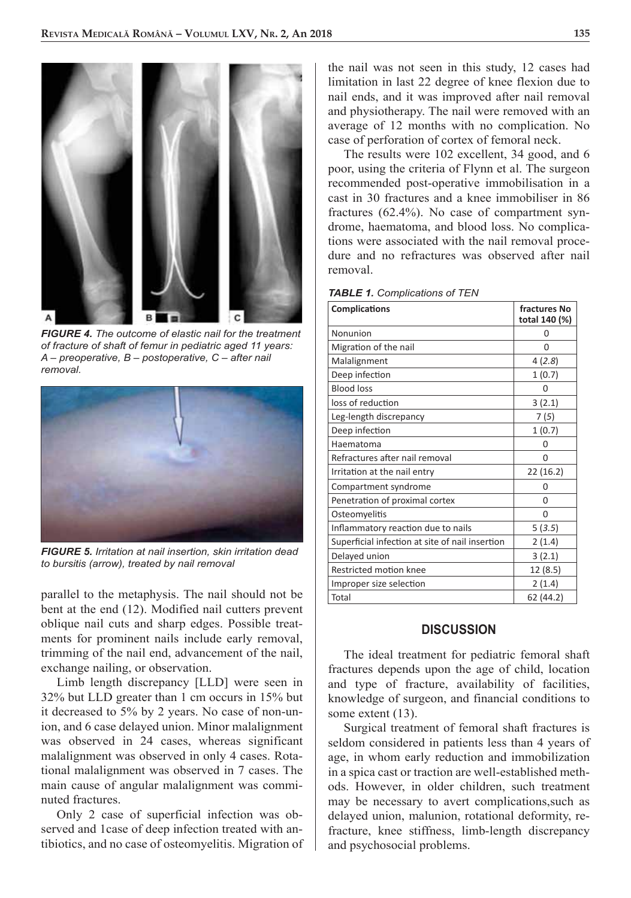

*FIGURE 4. The outcome of elastic nail for the treatment of fracture of shaft of femur in pediatric aged 11 years: A – preoperative, B – postoperative, C – after nail removal.* 



*FIGURE 5. Irritation at nail insertion, skin irritation dead to bursitis (arrow), treated by nail removal*

parallel to the metaphysis. The nail should not be bent at the end (12). Modified nail cutters prevent oblique nail cuts and sharp edges. Possible treatments for prominent nails include early removal, trimming of the nail end, advancement of the nail, exchange nailing, or observation.

Limb length discrepancy [LLD] were seen in 32% but LLD greater than 1 cm occurs in 15% but it decreased to 5% by 2 years. No case of non-union, and 6 case delayed union. Minor malalignment was observed in 24 cases, whereas significant malalignment was observed in only 4 cases. Rotational malalignment was observed in 7 cases. The main cause of angular malalignment was comminuted fractures.

Only 2 case of superficial infection was observed and 1case of deep infection treated with antibiotics, and no case of osteomyelitis. Migration of the nail was not seen in this study, 12 cases had limitation in last 22 degree of knee flexion due to nail ends, and it was improved after nail removal and physiotherapy. The nail were removed with an average of 12 months with no complication. No case of perforation of cortex of femoral neck.

The results were 102 excellent, 34 good, and 6 poor, using the criteria of Flynn et al. The surgeon recommended post-operative immobilisation in a cast in 30 fractures and a knee immobiliser in 86 fractures (62.4%). No case of compartment syndrome, haematoma, and blood loss. No complications were associated with the nail removal procedure and no refractures was observed after nail removal.

| <b>Complications</b>                            | fractures No<br>total 140 (%) |
|-------------------------------------------------|-------------------------------|
| Nonunion                                        | O                             |
| Migration of the nail                           | 0                             |
| Malalignment                                    | 4(2.8)                        |
| Deep infection                                  | 1(0.7)                        |
| <b>Blood loss</b>                               | 0                             |
| loss of reduction                               | 3(2.1)                        |
| Leg-length discrepancy                          | 7(5)                          |
| Deep infection                                  | 1(0.7)                        |
| Haematoma                                       | 0                             |
| Refractures after nail removal                  | 0                             |
| Irritation at the nail entry                    | 22(16.2)                      |
| Compartment syndrome                            | 0                             |
| Penetration of proximal cortex                  | 0                             |
| Osteomyelitis                                   | 0                             |
| Inflammatory reaction due to nails              | 5(3.5)                        |
| Superficial infection at site of nail insertion | 2(1.4)                        |
| Delayed union                                   | 3(2.1)                        |
| Restricted motion knee                          | 12 (8.5)                      |
| Improper size selection                         | 2(1.4)                        |
| Total                                           | 62(44.2)                      |
|                                                 |                               |

*TABLE 1. Complications of TEN*

#### **DISCUSSION**

The ideal treatment for pediatric femoral shaft fractures depends upon the age of child, location and type of fracture, availability of facilities, knowledge of surgeon, and financial conditions to some extent  $(13)$ .

Surgical treatment of femoral shaft fractures is seldom considered in patients less than 4 years of age, in whom early reduction and immobilization in a spica cast or traction are well-established methods. However, in older children, such treatment may be necessary to avert complications,such as delayed union, malunion, rotational deformity, refracture, knee stiffness, limb-length discrepancy and psychosocial problems.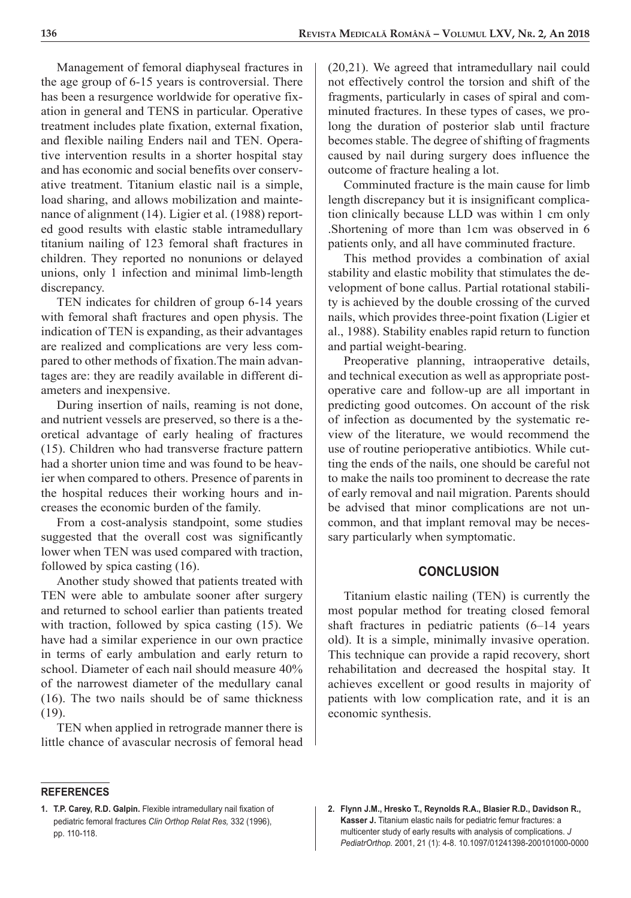Management of femoral diaphyseal fractures in the age group of 6-15 years is controversial. There has been a resurgence worldwide for operative fixation in general and TENS in particular. Operative treatment includes plate fixation, external fixation, and flexible nailing Enders nail and TEN. Operative intervention results in a shorter hospital stay and has economic and social benefits over conservative treatment. Titanium elastic nail is a simple, load sharing, and allows mobilization and maintenance of alignment (14). Ligier et al. (1988) reported good results with elastic stable intramedullary titanium nailing of 123 femoral shaft fractures in children. They reported no nonunions or delayed unions, only 1 infection and minimal limb-length discrepancy.

TEN indicates for children of group 6-14 years with femoral shaft fractures and open physis. The indication of TEN is expanding, as their advantages are realized and complications are very less compared to other methods of fixation.The main advantages are: they are readily available in different diameters and inexpensive.

During insertion of nails, reaming is not done, and nutrient vessels are preserved, so there is a theoretical advantage of early healing of fractures (15). Children who had transverse fracture pattern had a shorter union time and was found to be heavier when compared to others. Presence of parents in the hospital reduces their working hours and increases the economic burden of the family.

From a cost-analysis standpoint, some studies suggested that the overall cost was significantly lower when TEN was used compared with traction, followed by spica casting (16).

Another study showed that patients treated with TEN were able to ambulate sooner after surgery and returned to school earlier than patients treated with traction, followed by spica casting (15). We have had a similar experience in our own practice in terms of early ambulation and early return to school. Diameter of each nail should measure 40% of the narrowest diameter of the medullary canal (16). The two nails should be of same thickness (19).

TEN when applied in retrograde manner there is little chance of avascular necrosis of femoral head (20,21). We agreed that intramedullary nail could not effectively control the torsion and shift of the fragments, particularly in cases of spiral and comminuted fractures. In these types of cases, we prolong the duration of posterior slab until fracture becomes stable. The degree of shifting of fragments caused by nail during surgery does influence the outcome of fracture healing a lot.

Comminuted fracture is the main cause for limb length discrepancy but it is insignificant complication clinically because LLD was within 1 cm only .Shortening of more than 1cm was observed in 6 patients only, and all have comminuted fracture.

This method provides a combination of axial stability and elastic mobility that stimulates the development of bone callus. Partial rotational stability is achieved by the double crossing of the curved nails, which provides three-point fixation (Ligier et al., 1988). Stability enables rapid return to function and partial weight-bearing.

Preoperative planning, intraoperative details, and technical execution as well as appropriate postoperative care and follow-up are all important in predicting good outcomes. On account of the risk of infection as documented by the systematic review of the literature, we would recommend the use of routine perioperative antibiotics. While cutting the ends of the nails, one should be careful not to make the nails too prominent to decrease the rate of early removal and nail migration. Parents should be advised that minor complications are not uncommon, and that implant removal may be necessary particularly when symptomatic.

#### **CONCLUSION**

Titanium elastic nailing (TEN) is currently the most popular method for treating closed femoral shaft fractures in pediatric patients (6–14 years old). It is a simple, minimally invasive operation. This technique can provide a rapid recovery, short rehabilitation and decreased the hospital stay. It achieves excellent or good results in majority of patients with low complication rate, and it is an economic synthesis.

#### **REFERENCES**

**<sup>1.</sup> T.P. Carey, R.D. Galpin.** Flexible intramedullary nail fixation of pediatric femoral fractures *Clin Orthop Relat Res,* 332 (1996), pp. 110-118.

**<sup>2.</sup> Flynn J.M., Hresko T., Reynolds R.A., Blasier R.D., Davidson R., Kasser J.** Titanium elastic nails for pediatric femur fractures: a multicenter study of early results with analysis of complications. *J PediatrOrthop.* 2001, 21 (1): 4-8. 10.1097/01241398-200101000-0000